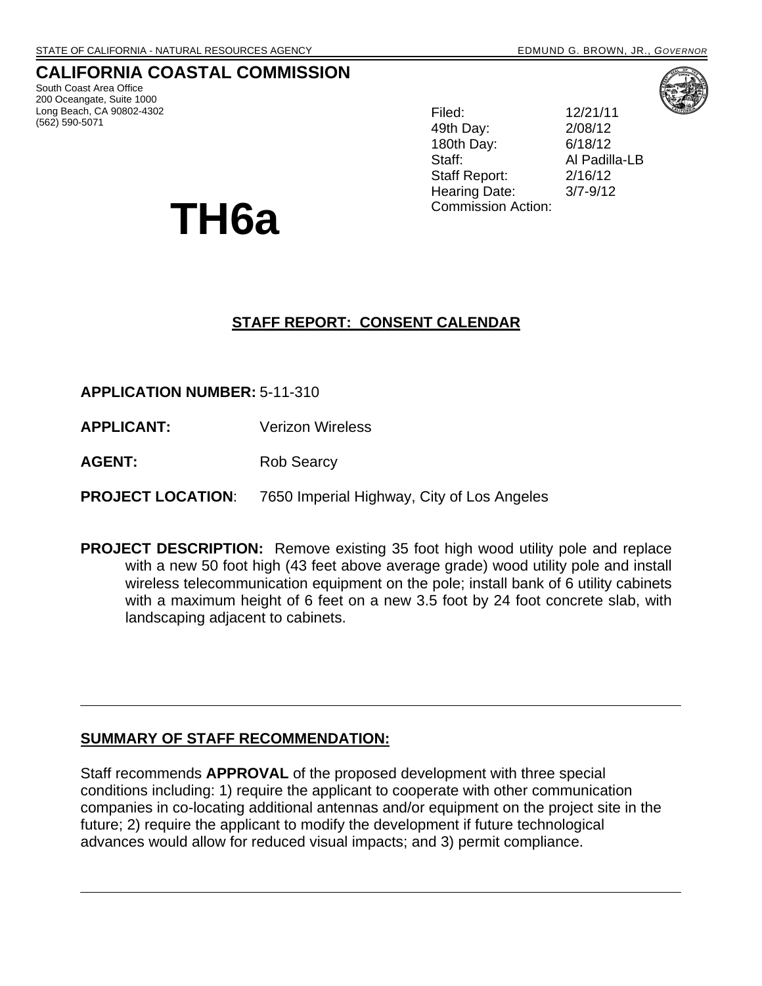# **CALIFORNIA COASTAL COMMISSION**

South Coast Area Office 200 Oceangate, Suite 1000 Long Beach, CA 90802-4302 (562) 590-5071

Filed: 12/21/11 49th Day: 2/08/12 180th Day: 6/18/12 Staff: Al Padilla-LB Staff Report: 2/16/12 Hearing Date: 3/7-9/12 TH6a <sup>Commission Action:</sup>

# **STAFF REPORT: CONSENT CALENDAR**

**APPLICATION NUMBER:** 5-11-310

- **APPLICANT:** Verizon Wireless
- **AGENT:** Rob Searcy

**PROJECT LOCATION**: 7650 Imperial Highway, City of Los Angeles

**PROJECT DESCRIPTION:** Remove existing 35 foot high wood utility pole and replace with a new 50 foot high (43 feet above average grade) wood utility pole and install wireless telecommunication equipment on the pole; install bank of 6 utility cabinets with a maximum height of 6 feet on a new 3.5 foot by 24 foot concrete slab, with landscaping adjacent to cabinets.

### **SUMMARY OF STAFF RECOMMENDATION:**

Staff recommends **APPROVAL** of the proposed development with three special conditions including: 1) require the applicant to cooperate with other communication companies in co-locating additional antennas and/or equipment on the project site in the future; 2) require the applicant to modify the development if future technological advances would allow for reduced visual impacts; and 3) permit compliance.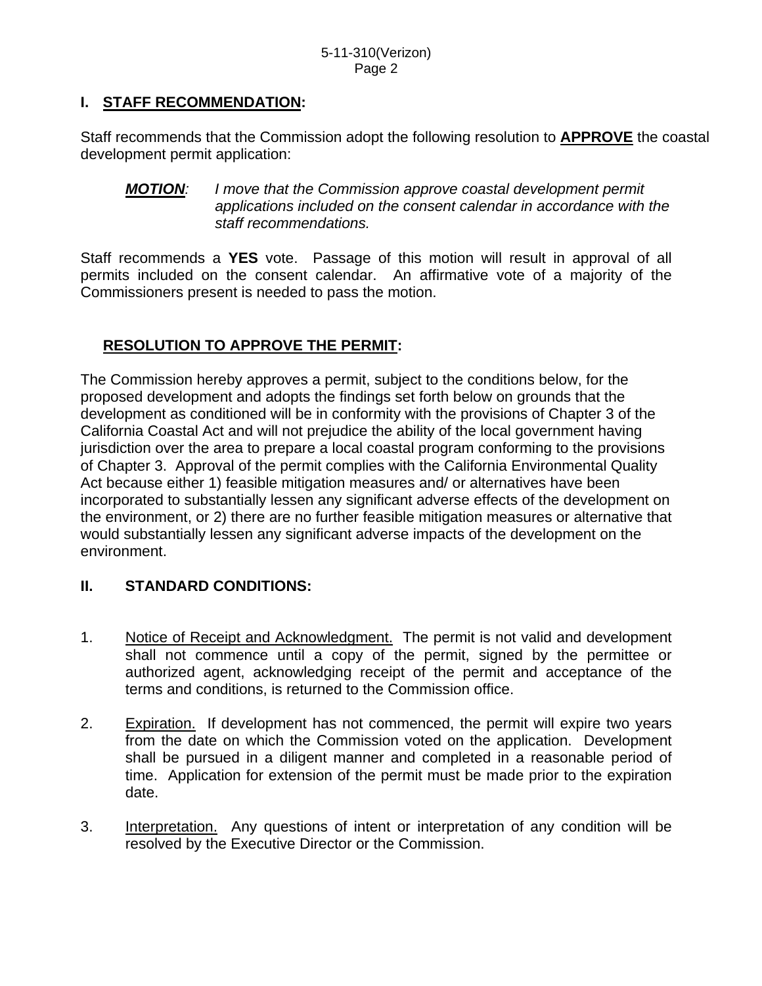## **I. STAFF RECOMMENDATION:**

Staff recommends that the Commission adopt the following resolution to **APPROVE** the coastal development permit application:

*MOTION: I move that the Commission approve coastal development permit applications included on the consent calendar in accordance with the staff recommendations.* 

Staff recommends a **YES** vote. Passage of this motion will result in approval of all permits included on the consent calendar. An affirmative vote of a majority of the Commissioners present is needed to pass the motion.

# **RESOLUTION TO APPROVE THE PERMIT:**

The Commission hereby approves a permit, subject to the conditions below, for the proposed development and adopts the findings set forth below on grounds that the development as conditioned will be in conformity with the provisions of Chapter 3 of the California Coastal Act and will not prejudice the ability of the local government having jurisdiction over the area to prepare a local coastal program conforming to the provisions of Chapter 3. Approval of the permit complies with the California Environmental Quality Act because either 1) feasible mitigation measures and/ or alternatives have been incorporated to substantially lessen any significant adverse effects of the development on the environment, or 2) there are no further feasible mitigation measures or alternative that would substantially lessen any significant adverse impacts of the development on the environment.

## **II. STANDARD CONDITIONS:**

- 1. Notice of Receipt and Acknowledgment. The permit is not valid and development shall not commence until a copy of the permit, signed by the permittee or authorized agent, acknowledging receipt of the permit and acceptance of the terms and conditions, is returned to the Commission office.
- 2. Expiration. If development has not commenced, the permit will expire two years from the date on which the Commission voted on the application. Development shall be pursued in a diligent manner and completed in a reasonable period of time. Application for extension of the permit must be made prior to the expiration date.
- 3. Interpretation. Any questions of intent or interpretation of any condition will be resolved by the Executive Director or the Commission.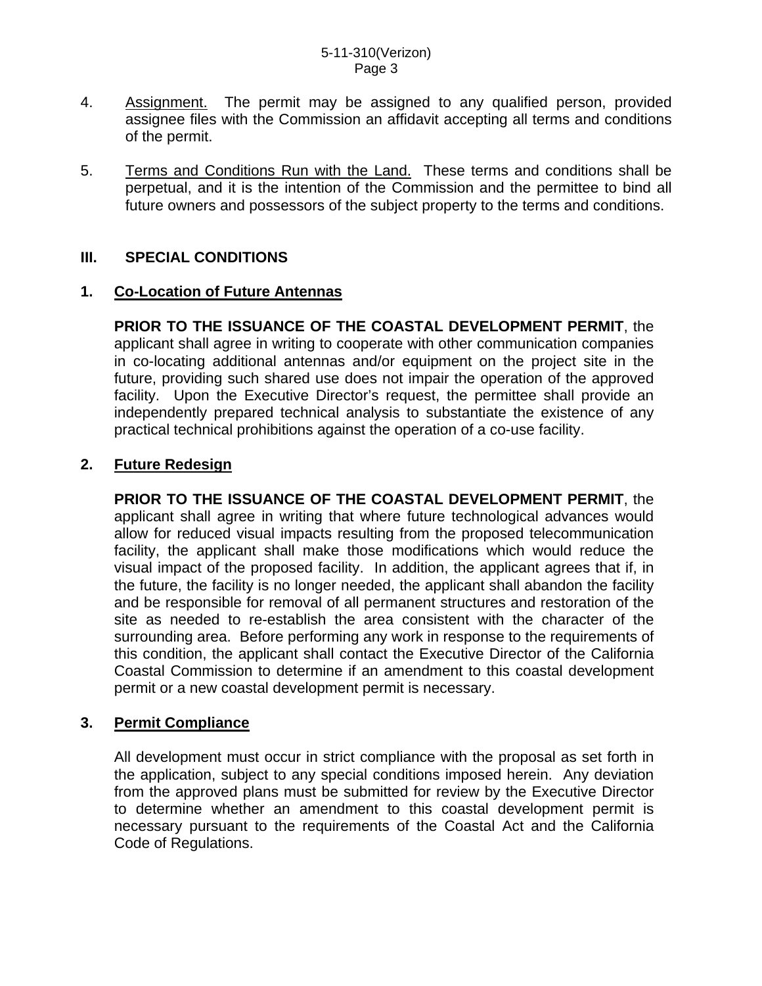- 4. Assignment. The permit may be assigned to any qualified person, provided assignee files with the Commission an affidavit accepting all terms and conditions of the permit.
- 5. Terms and Conditions Run with the Land. These terms and conditions shall be perpetual, and it is the intention of the Commission and the permittee to bind all future owners and possessors of the subject property to the terms and conditions.

#### **III. SPECIAL CONDITIONS**

#### **1. Co-Location of Future Antennas**

**PRIOR TO THE ISSUANCE OF THE COASTAL DEVELOPMENT PERMIT**, the applicant shall agree in writing to cooperate with other communication companies in co-locating additional antennas and/or equipment on the project site in the future, providing such shared use does not impair the operation of the approved facility. Upon the Executive Director's request, the permittee shall provide an independently prepared technical analysis to substantiate the existence of any practical technical prohibitions against the operation of a co-use facility.

#### **2. Future Redesign**

**PRIOR TO THE ISSUANCE OF THE COASTAL DEVELOPMENT PERMIT**, the applicant shall agree in writing that where future technological advances would allow for reduced visual impacts resulting from the proposed telecommunication facility, the applicant shall make those modifications which would reduce the visual impact of the proposed facility. In addition, the applicant agrees that if, in the future, the facility is no longer needed, the applicant shall abandon the facility and be responsible for removal of all permanent structures and restoration of the site as needed to re-establish the area consistent with the character of the surrounding area. Before performing any work in response to the requirements of this condition, the applicant shall contact the Executive Director of the California Coastal Commission to determine if an amendment to this coastal development permit or a new coastal development permit is necessary.

#### **3. Permit Compliance**

 All development must occur in strict compliance with the proposal as set forth in the application, subject to any special conditions imposed herein. Any deviation from the approved plans must be submitted for review by the Executive Director to determine whether an amendment to this coastal development permit is necessary pursuant to the requirements of the Coastal Act and the California Code of Regulations.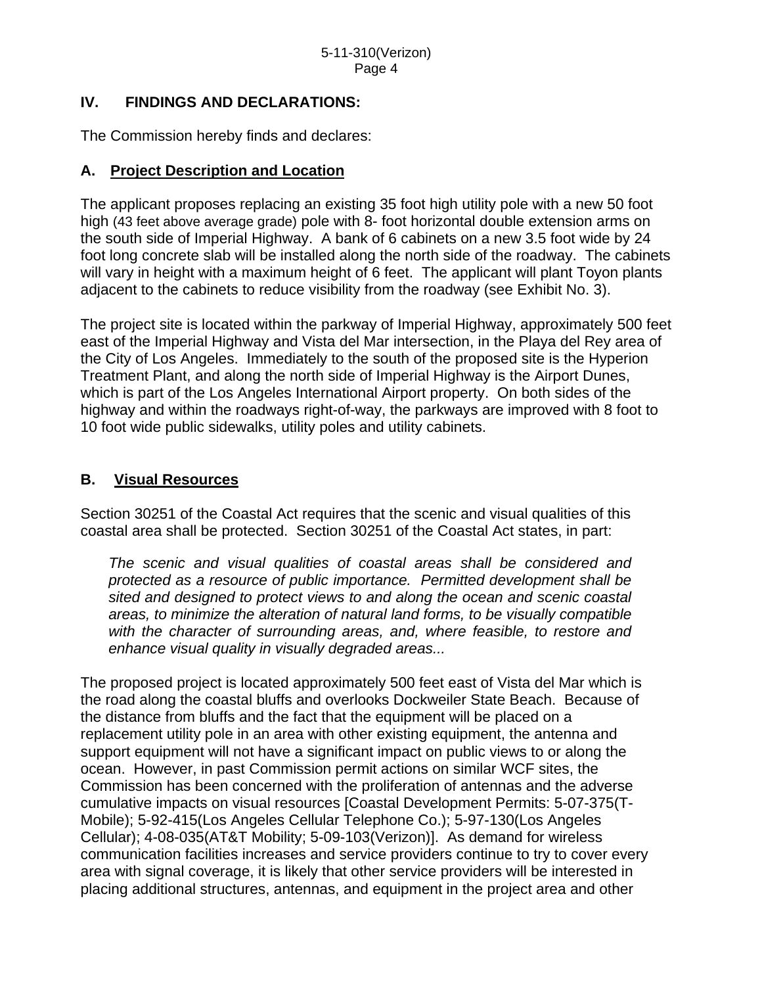### **IV. FINDINGS AND DECLARATIONS:**

The Commission hereby finds and declares:

### **A. Project Description and Location**

The applicant proposes replacing an existing 35 foot high utility pole with a new 50 foot high (43 feet above average grade) pole with 8- foot horizontal double extension arms on the south side of Imperial Highway. A bank of 6 cabinets on a new 3.5 foot wide by 24 foot long concrete slab will be installed along the north side of the roadway. The cabinets will vary in height with a maximum height of 6 feet. The applicant will plant Toyon plants adjacent to the cabinets to reduce visibility from the roadway (see Exhibit No. 3).

The project site is located within the parkway of Imperial Highway, approximately 500 feet east of the Imperial Highway and Vista del Mar intersection, in the Playa del Rey area of the City of Los Angeles. Immediately to the south of the proposed site is the Hyperion Treatment Plant, and along the north side of Imperial Highway is the Airport Dunes, which is part of the Los Angeles International Airport property. On both sides of the highway and within the roadways right-of-way, the parkways are improved with 8 foot to 10 foot wide public sidewalks, utility poles and utility cabinets.

### **B. Visual Resources**

Section 30251 of the Coastal Act requires that the scenic and visual qualities of this coastal area shall be protected. Section 30251 of the Coastal Act states, in part:

*The scenic and visual qualities of coastal areas shall be considered and protected as a resource of public importance. Permitted development shall be sited and designed to protect views to and along the ocean and scenic coastal areas, to minimize the alteration of natural land forms, to be visually compatible with the character of surrounding areas, and, where feasible, to restore and enhance visual quality in visually degraded areas...* 

The proposed project is located approximately 500 feet east of Vista del Mar which is the road along the coastal bluffs and overlooks Dockweiler State Beach. Because of the distance from bluffs and the fact that the equipment will be placed on a replacement utility pole in an area with other existing equipment, the antenna and support equipment will not have a significant impact on public views to or along the ocean. However, in past Commission permit actions on similar WCF sites, the Commission has been concerned with the proliferation of antennas and the adverse cumulative impacts on visual resources [Coastal Development Permits: 5-07-375(T-Mobile); 5-92-415(Los Angeles Cellular Telephone Co.); 5-97-130(Los Angeles Cellular); 4-08-035(AT&T Mobility; 5-09-103(Verizon)]. As demand for wireless communication facilities increases and service providers continue to try to cover every area with signal coverage, it is likely that other service providers will be interested in placing additional structures, antennas, and equipment in the project area and other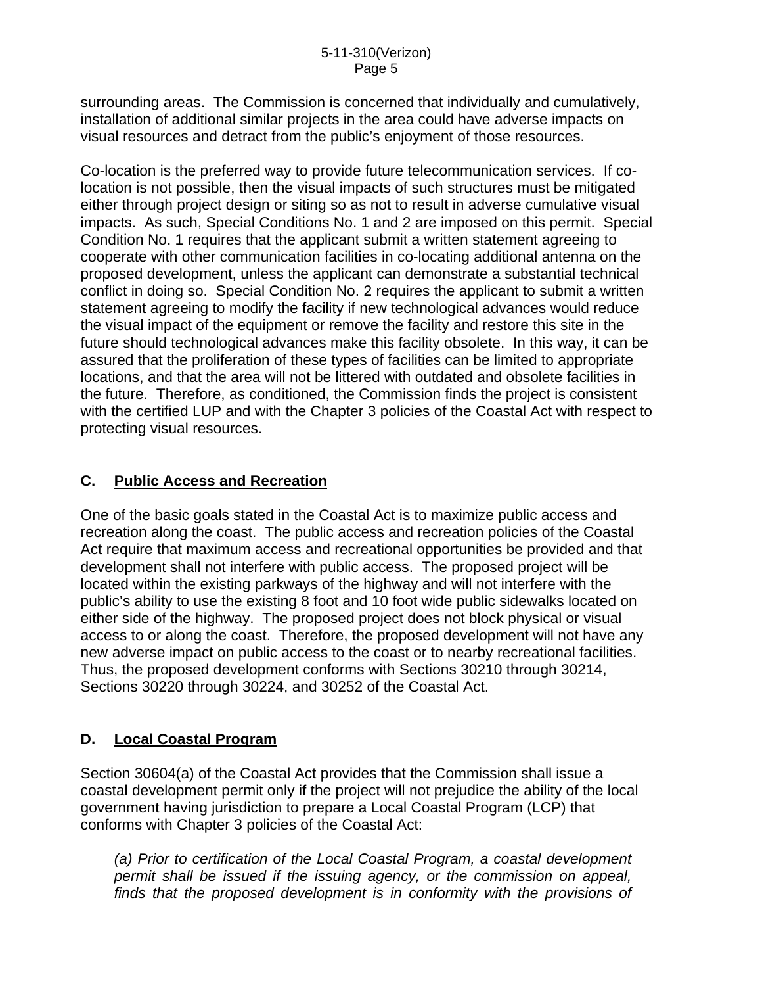surrounding areas. The Commission is concerned that individually and cumulatively, installation of additional similar projects in the area could have adverse impacts on visual resources and detract from the public's enjoyment of those resources.

Co-location is the preferred way to provide future telecommunication services. If colocation is not possible, then the visual impacts of such structures must be mitigated either through project design or siting so as not to result in adverse cumulative visual impacts. As such, Special Conditions No. 1 and 2 are imposed on this permit. Special Condition No. 1 requires that the applicant submit a written statement agreeing to cooperate with other communication facilities in co-locating additional antenna on the proposed development, unless the applicant can demonstrate a substantial technical conflict in doing so. Special Condition No. 2 requires the applicant to submit a written statement agreeing to modify the facility if new technological advances would reduce the visual impact of the equipment or remove the facility and restore this site in the future should technological advances make this facility obsolete. In this way, it can be assured that the proliferation of these types of facilities can be limited to appropriate locations, and that the area will not be littered with outdated and obsolete facilities in the future. Therefore, as conditioned, the Commission finds the project is consistent with the certified LUP and with the Chapter 3 policies of the Coastal Act with respect to protecting visual resources.

## **C. Public Access and Recreation**

One of the basic goals stated in the Coastal Act is to maximize public access and recreation along the coast. The public access and recreation policies of the Coastal Act require that maximum access and recreational opportunities be provided and that development shall not interfere with public access. The proposed project will be located within the existing parkways of the highway and will not interfere with the public's ability to use the existing 8 foot and 10 foot wide public sidewalks located on either side of the highway. The proposed project does not block physical or visual access to or along the coast. Therefore, the proposed development will not have any new adverse impact on public access to the coast or to nearby recreational facilities. Thus, the proposed development conforms with Sections 30210 through 30214, Sections 30220 through 30224, and 30252 of the Coastal Act.

### **D. Local Coastal Program**

Section 30604(a) of the Coastal Act provides that the Commission shall issue a coastal development permit only if the project will not prejudice the ability of the local government having jurisdiction to prepare a Local Coastal Program (LCP) that conforms with Chapter 3 policies of the Coastal Act:

*(a) Prior to certification of the Local Coastal Program, a coastal development permit shall be issued if the issuing agency, or the commission on appeal, finds that the proposed development is in conformity with the provisions of*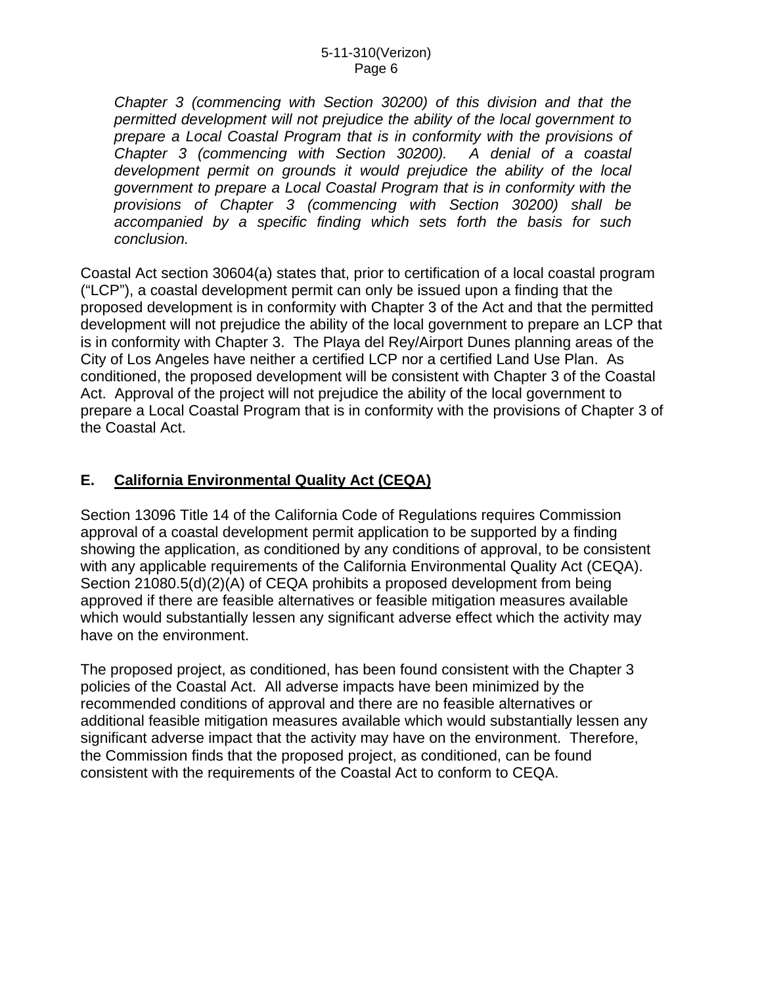*Chapter 3 (commencing with Section 30200) of this division and that the permitted development will not prejudice the ability of the local government to prepare a Local Coastal Program that is in conformity with the provisions of Chapter 3 (commencing with Section 30200). A denial of a coastal development permit on grounds it would prejudice the ability of the local government to prepare a Local Coastal Program that is in conformity with the provisions of Chapter 3 (commencing with Section 30200) shall be accompanied by a specific finding which sets forth the basis for such conclusion.* 

Coastal Act section 30604(a) states that, prior to certification of a local coastal program ("LCP"), a coastal development permit can only be issued upon a finding that the proposed development is in conformity with Chapter 3 of the Act and that the permitted development will not prejudice the ability of the local government to prepare an LCP that is in conformity with Chapter 3. The Playa del Rey/Airport Dunes planning areas of the City of Los Angeles have neither a certified LCP nor a certified Land Use Plan. As conditioned, the proposed development will be consistent with Chapter 3 of the Coastal Act. Approval of the project will not prejudice the ability of the local government to prepare a Local Coastal Program that is in conformity with the provisions of Chapter 3 of the Coastal Act.

## **E. California Environmental Quality Act (CEQA)**

Section 13096 Title 14 of the California Code of Regulations requires Commission approval of a coastal development permit application to be supported by a finding showing the application, as conditioned by any conditions of approval, to be consistent with any applicable requirements of the California Environmental Quality Act (CEQA). Section 21080.5(d)(2)(A) of CEQA prohibits a proposed development from being approved if there are feasible alternatives or feasible mitigation measures available which would substantially lessen any significant adverse effect which the activity may have on the environment.

The proposed project, as conditioned, has been found consistent with the Chapter 3 policies of the Coastal Act. All adverse impacts have been minimized by the recommended conditions of approval and there are no feasible alternatives or additional feasible mitigation measures available which would substantially lessen any significant adverse impact that the activity may have on the environment. Therefore, the Commission finds that the proposed project, as conditioned, can be found consistent with the requirements of the Coastal Act to conform to CEQA.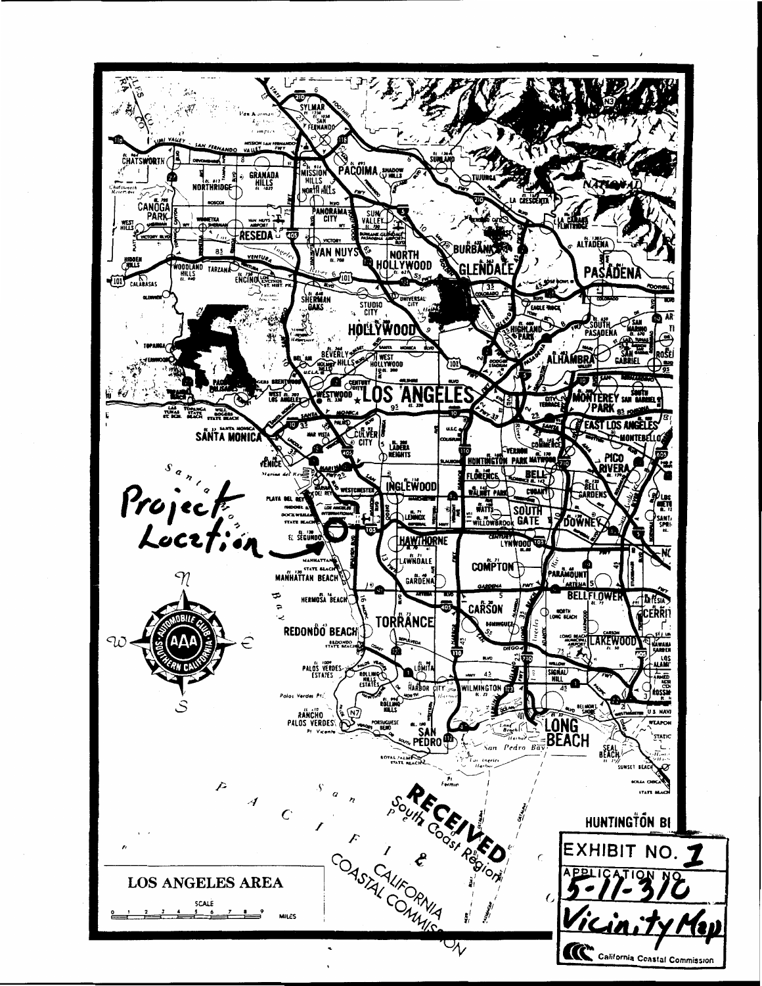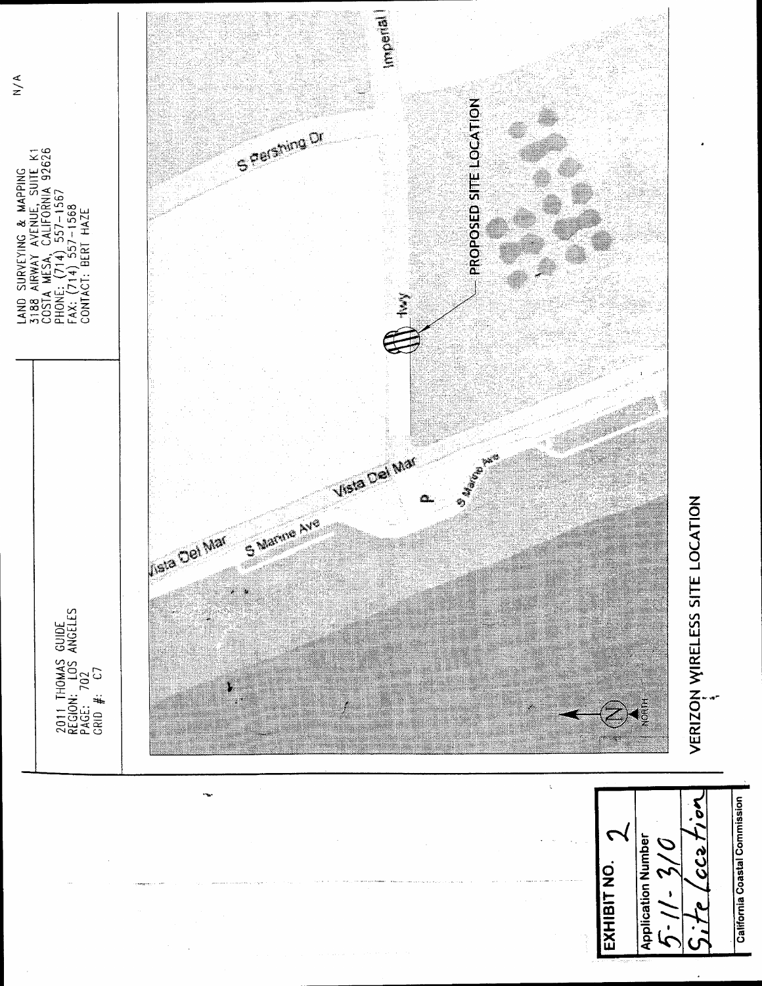

California Coastal Commission

 $C(2)$ 

 $\cdot$ 

 $\cdot$  )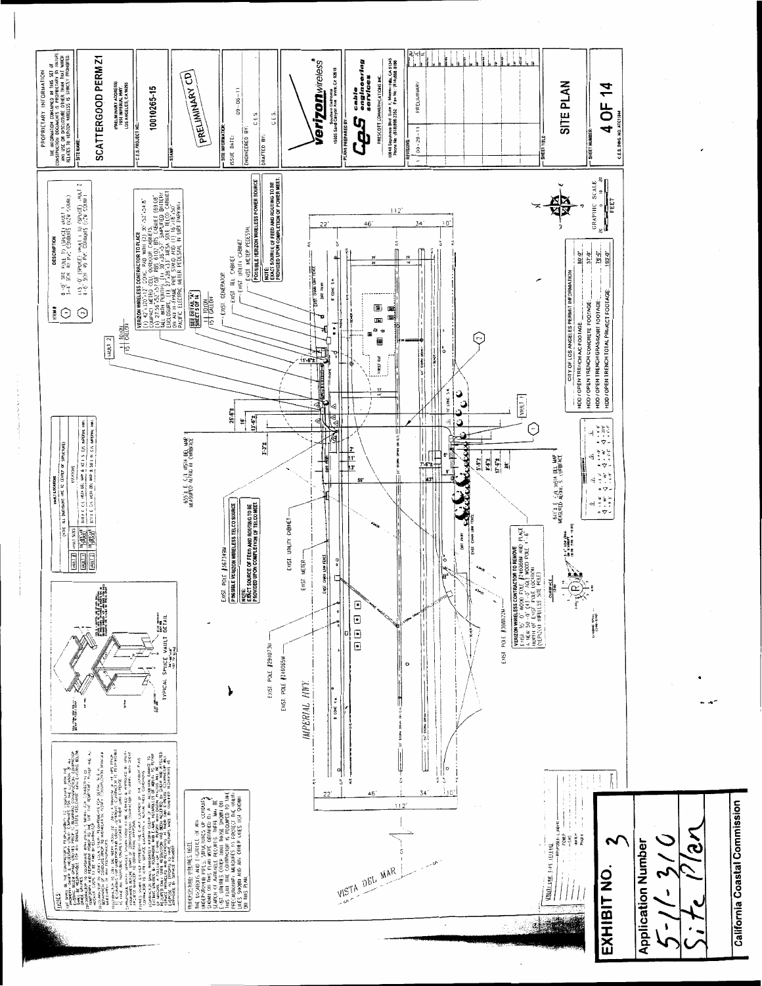